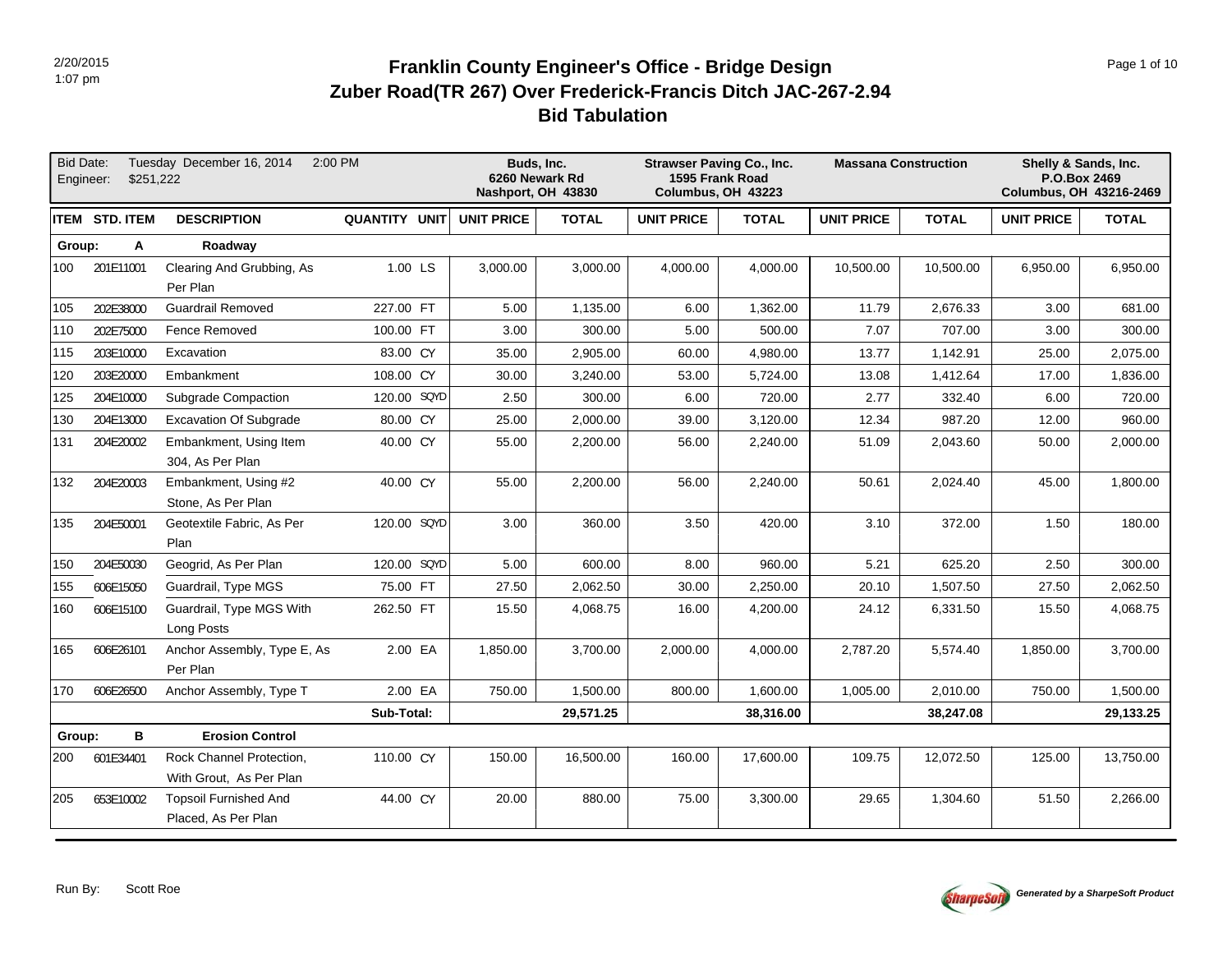# **Bid Tabulation Zuber Road(TR 267) Over Frederick-Francis Ditch JAC-267-2.94 Franklin County Engineer's Office - Bridge Design Page 1 of 10 Page 1 of 10 Page 1 of 10**

|        | <b>Bid Date:</b><br>\$251,222<br>Engineer: | Tuesday December 16, 2014                           | 2:00 PM              | Buds, Inc.<br>6260 Newark Rd<br>Nashport, OH 43830 |              |                   | <b>Strawser Paving Co., Inc.</b><br>1595 Frank Road<br>Columbus, OH 43223 |                   | <b>Massana Construction</b> | Shelly & Sands, Inc.<br>P.O.Box 2469<br>Columbus, OH 43216-2469 |              |
|--------|--------------------------------------------|-----------------------------------------------------|----------------------|----------------------------------------------------|--------------|-------------------|---------------------------------------------------------------------------|-------------------|-----------------------------|-----------------------------------------------------------------|--------------|
|        | <b>ITEM STD. ITEM</b>                      | <b>DESCRIPTION</b>                                  | <b>QUANTITY UNIT</b> | <b>UNIT PRICE</b>                                  | <b>TOTAL</b> | <b>UNIT PRICE</b> | <b>TOTAL</b>                                                              | <b>UNIT PRICE</b> | <b>TOTAL</b>                | <b>UNIT PRICE</b>                                               | <b>TOTAL</b> |
| Group: | Α                                          | Roadway                                             |                      |                                                    |              |                   |                                                                           |                   |                             |                                                                 |              |
| 100    | 201E11001                                  | Clearing And Grubbing, As<br>Per Plan               | 1.00 LS              | 3,000.00                                           | 3,000.00     | 4,000.00          | 4,000.00                                                                  | 10,500.00         | 10,500.00                   | 6,950.00                                                        | 6,950.00     |
| 105    | 202E38000                                  | <b>Guardrail Removed</b>                            | 227.00 FT            | 5.00                                               | 1,135.00     | 6.00              | 1,362.00                                                                  | 11.79             | 2,676.33                    | 3.00                                                            | 681.00       |
| 110    | 202E75000                                  | Fence Removed                                       | 100.00 FT            | 3.00                                               | 300.00       | 5.00              | 500.00                                                                    | 7.07              | 707.00                      | 3.00                                                            | 300.00       |
| 115    | 203E10000                                  | Excavation                                          | 83.00 CY             | 35.00                                              | 2,905.00     | 60.00             | 4,980.00                                                                  | 13.77             | 1,142.91                    | 25.00                                                           | 2,075.00     |
| 120    | 203E20000                                  | Embankment                                          | 108.00 CY            | 30.00                                              | 3,240.00     | 53.00             | 5,724.00                                                                  | 13.08             | 1,412.64                    | 17.00                                                           | 1,836.00     |
| 125    | 204E10000                                  | Subgrade Compaction                                 | 120.00 SQYD          | 2.50                                               | 300.00       | 6.00              | 720.00                                                                    | 2.77              | 332.40                      | 6.00                                                            | 720.00       |
| 130    | 204E13000                                  | <b>Excavation Of Subgrade</b>                       | 80.00 CY             | 25.00                                              | 2,000.00     | 39.00             | 3,120.00                                                                  | 12.34             | 987.20                      | 12.00                                                           | 960.00       |
| 131    | 204E20002                                  | Embankment, Using Item<br>304, As Per Plan          | 40.00 CY             | 55.00                                              | 2,200.00     | 56.00             | 2,240.00                                                                  | 51.09             | 2,043.60                    | 50.00                                                           | 2,000.00     |
| 132    | 204E20003                                  | Embankment, Using #2<br>Stone, As Per Plan          | 40.00 CY             | 55.00                                              | 2,200.00     | 56.00             | 2,240.00                                                                  | 50.61             | 2,024.40                    | 45.00                                                           | 1,800.00     |
| 135    | 204E50001                                  | Geotextile Fabric, As Per<br>Plan                   | 120.00 SQYD          | 3.00                                               | 360.00       | 3.50              | 420.00                                                                    | 3.10              | 372.00                      | 1.50                                                            | 180.00       |
| 150    | 204E50030                                  | Geogrid, As Per Plan                                | 120.00 SQYD          | 5.00                                               | 600.00       | 8.00              | 960.00                                                                    | 5.21              | 625.20                      | 2.50                                                            | 300.00       |
| 155    | 606E15050                                  | Guardrail, Type MGS                                 | 75.00 FT             | 27.50                                              | 2,062.50     | 30.00             | 2,250.00                                                                  | 20.10             | 1,507.50                    | 27.50                                                           | 2,062.50     |
| 160    | 606E15100                                  | Guardrail, Type MGS With<br>Long Posts              | 262.50 FT            | 15.50                                              | 4,068.75     | 16.00             | 4,200.00                                                                  | 24.12             | 6,331.50                    | 15.50                                                           | 4,068.75     |
| 165    | 606E26101                                  | Anchor Assembly, Type E, As<br>Per Plan             | 2.00 EA              | 1,850.00                                           | 3,700.00     | 2,000.00          | 4,000.00                                                                  | 2,787.20          | 5,574.40                    | 1,850.00                                                        | 3,700.00     |
| 170    | 606E26500                                  | Anchor Assembly, Type T                             | 2.00 EA              | 750.00                                             | 1,500.00     | 800.00            | 1,600.00                                                                  | 1,005.00          | 2,010.00                    | 750.00                                                          | 1,500.00     |
|        |                                            |                                                     | Sub-Total:           |                                                    | 29,571.25    |                   | 38,316.00                                                                 |                   | 38.247.08                   |                                                                 | 29,133.25    |
| Group: | в                                          | <b>Erosion Control</b>                              |                      |                                                    |              |                   |                                                                           |                   |                             |                                                                 |              |
| 200    | 601E34401                                  | Rock Channel Protection,<br>With Grout, As Per Plan | 110.00 CY            | 150.00                                             | 16,500.00    | 160.00            | 17,600.00                                                                 | 109.75            | 12,072.50                   | 125.00                                                          | 13,750.00    |
| 205    | 653E10002                                  | <b>Topsoil Furnished And</b><br>Placed, As Per Plan | 44.00 CY             | 20.00                                              | 880.00       | 75.00             | 3,300.00                                                                  | 29.65             | 1,304.60                    | 51.50                                                           | 2,266.00     |

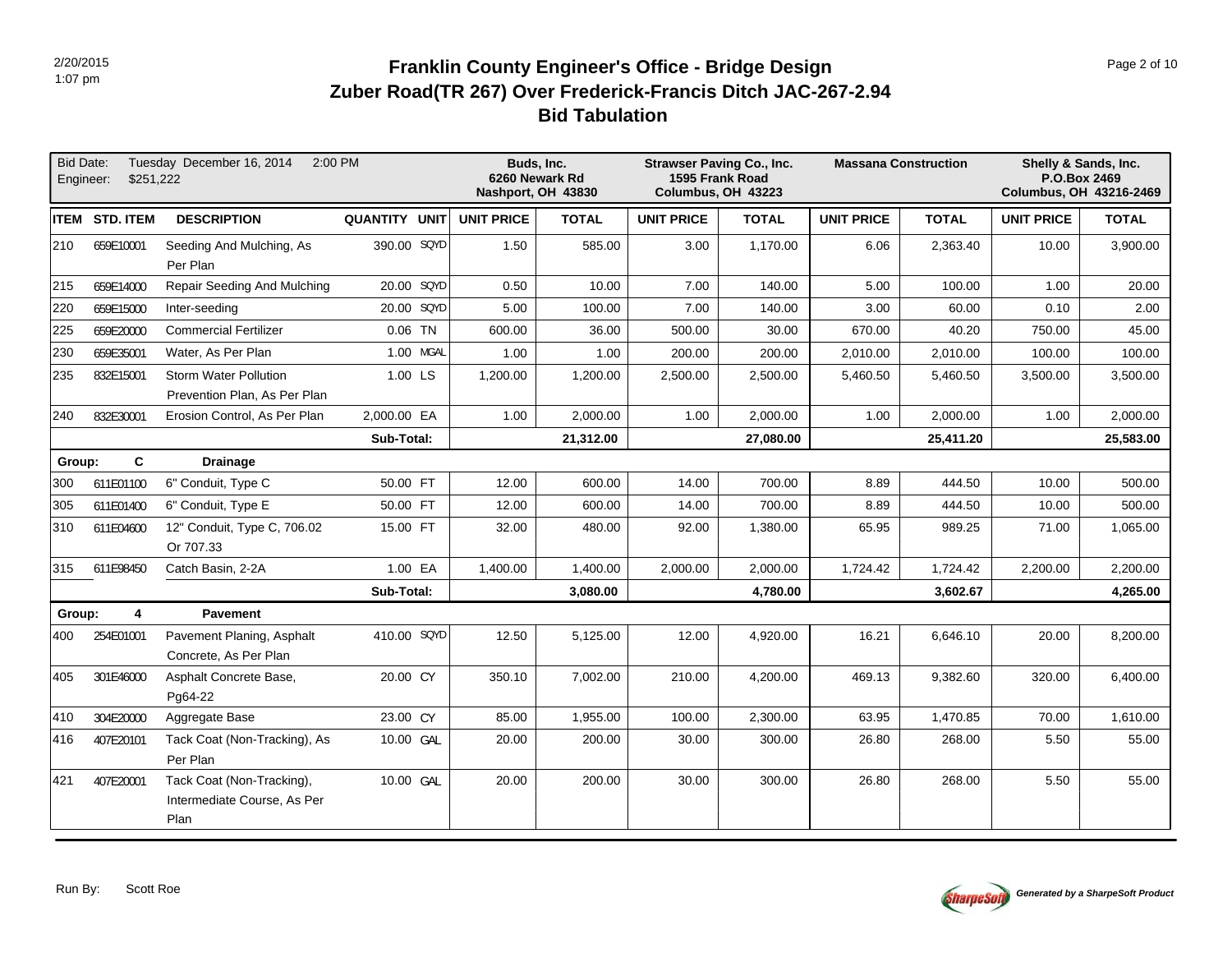# **Bid Tabulation Zuber Road(TR 267) Over Frederick-Francis Ditch JAC-267-2.94 Franklin County Engineer's Office - Bridge Design Page 2 of 10 Page 2 of 10**

|        | Bid Date:<br>Engineer:<br>\$251,222 | Tuesday December 16, 2014                                        | 2:00 PM       | Buds, Inc.<br>6260 Newark Rd<br>Nashport, OH 43830 |              |                   | <b>Strawser Paving Co., Inc.</b><br>1595 Frank Road<br>Columbus, OH 43223 |                   | <b>Massana Construction</b> |                   | Shelly & Sands, Inc.<br>P.O.Box 2469<br>Columbus, OH 43216-2469 |
|--------|-------------------------------------|------------------------------------------------------------------|---------------|----------------------------------------------------|--------------|-------------------|---------------------------------------------------------------------------|-------------------|-----------------------------|-------------------|-----------------------------------------------------------------|
|        | <b>ITEM STD. ITEM</b>               | <b>DESCRIPTION</b>                                               | QUANTITY UNIT | <b>UNIT PRICE</b>                                  | <b>TOTAL</b> | <b>UNIT PRICE</b> | <b>TOTAL</b>                                                              | <b>UNIT PRICE</b> | <b>TOTAL</b>                | <b>UNIT PRICE</b> | <b>TOTAL</b>                                                    |
| 210    | 659E10001                           | Seeding And Mulching, As<br>Per Plan                             | 390.00 SQYD   | 1.50                                               | 585.00       | 3.00              | 1,170.00                                                                  | 6.06              | 2,363.40                    | 10.00             | 3,900.00                                                        |
| 215    | 659E14000                           | Repair Seeding And Mulching                                      | 20.00 SQYD    | 0.50                                               | 10.00        | 7.00              | 140.00                                                                    | 5.00              | 100.00                      | 1.00              | 20.00                                                           |
| 220    | 659E15000                           | Inter-seeding                                                    | 20.00 SQYD    | 5.00                                               | 100.00       | 7.00              | 140.00                                                                    | 3.00              | 60.00                       | 0.10              | 2.00                                                            |
| 225    | 659E20000                           | <b>Commercial Fertilizer</b>                                     | $0.06$ TN     | 600.00                                             | 36.00        | 500.00            | 30.00                                                                     | 670.00            | 40.20                       | 750.00            | 45.00                                                           |
| 230    | 659E35001                           | Water, As Per Plan                                               | 1.00 MGAL     | 1.00                                               | 1.00         | 200.00            | 200.00                                                                    | 2,010.00          | 2,010.00                    | 100.00            | 100.00                                                          |
| 235    | 832E15001                           | <b>Storm Water Pollution</b><br>Prevention Plan, As Per Plan     | 1.00 LS       | 1,200.00                                           | 1,200.00     | 2,500.00          | 2,500.00                                                                  | 5,460.50          | 5,460.50                    | 3,500.00          | 3,500.00                                                        |
| 240    | 832E30001                           | Erosion Control, As Per Plan                                     | 2,000.00 EA   | 1.00                                               | 2,000.00     | 1.00              | 2,000.00                                                                  | 1.00              | 2,000.00                    | 1.00              | 2,000.00                                                        |
|        |                                     |                                                                  | Sub-Total:    |                                                    | 21,312.00    |                   | 27,080.00                                                                 |                   | 25,411.20                   |                   | 25,583.00                                                       |
| Group: | C                                   | <b>Drainage</b>                                                  |               |                                                    |              |                   |                                                                           |                   |                             |                   |                                                                 |
| 300    | 611E01100                           | 6" Conduit, Type C                                               | 50.00 FT      | 12.00                                              | 600.00       | 14.00             | 700.00                                                                    | 8.89              | 444.50                      | 10.00             | 500.00                                                          |
| 305    | 611E01400                           | 6" Conduit, Type E                                               | 50.00 FT      | 12.00                                              | 600.00       | 14.00             | 700.00                                                                    | 8.89              | 444.50                      | 10.00             | 500.00                                                          |
| 310    | 611E04600                           | 12" Conduit, Type C, 706.02<br>Or 707.33                         | 15.00 FT      | 32.00                                              | 480.00       | 92.00             | 1,380.00                                                                  | 65.95             | 989.25                      | 71.00             | 1,065.00                                                        |
| 315    | 611E98450                           | Catch Basin, 2-2A                                                | 1.00 EA       | 1,400.00                                           | 1,400.00     | 2,000.00          | 2,000.00                                                                  | 1,724.42          | 1,724.42                    | 2,200.00          | 2,200.00                                                        |
|        |                                     |                                                                  | Sub-Total:    |                                                    | 3,080.00     |                   | 4,780.00                                                                  |                   | 3,602.67                    |                   | 4,265.00                                                        |
| Group: | 4                                   | <b>Pavement</b>                                                  |               |                                                    |              |                   |                                                                           |                   |                             |                   |                                                                 |
| 400    | 254E01001                           | Pavement Planing, Asphalt<br>Concrete, As Per Plan               | 410.00 SQYD   | 12.50                                              | 5,125.00     | 12.00             | 4,920.00                                                                  | 16.21             | 6,646.10                    | 20.00             | 8,200.00                                                        |
| 405    | 301E46000                           | Asphalt Concrete Base,<br>Pg64-22                                | 20.00 CY      | 350.10                                             | 7,002.00     | 210.00            | 4,200.00                                                                  | 469.13            | 9,382.60                    | 320.00            | 6,400.00                                                        |
| 410    | 304E20000                           | Aggregate Base                                                   | 23.00 CY      | 85.00                                              | 1,955.00     | 100.00            | 2,300.00                                                                  | 63.95             | 1,470.85                    | 70.00             | 1,610.00                                                        |
| 416    | 407E20101                           | Tack Coat (Non-Tracking), As<br>Per Plan                         | 10.00 GAL     | 20.00                                              | 200.00       | 30.00             | 300.00                                                                    | 26.80             | 268.00                      | 5.50              | 55.00                                                           |
| 421    | 407E20001                           | Tack Coat (Non-Tracking),<br>Intermediate Course, As Per<br>Plan | 10.00 GAL     | 20.00                                              | 200.00       | 30.00             | 300.00                                                                    | 26.80             | 268.00                      | 5.50              | 55.00                                                           |

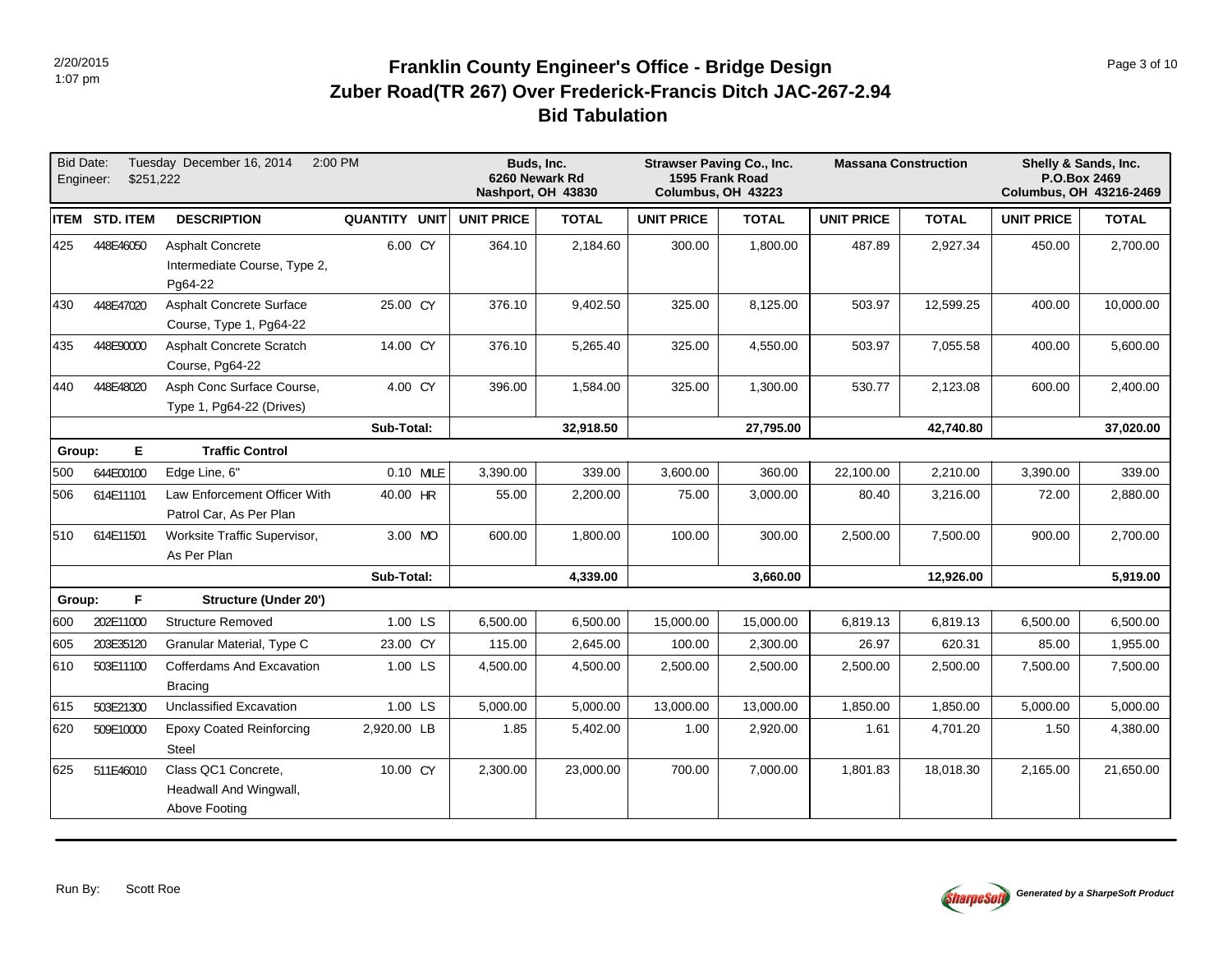# **Bid Tabulation Zuber Road(TR 267) Over Frederick-Francis Ditch JAC-267-2.94 Franklin County Engineer's Office - Bridge Design Page 10 Page 3 of 10 Page 3 of 10**

| <b>Bid Date:</b> | \$251,222<br>Engineer: | Tuesday December 16, 2014                                          | 2:00 PM       |                   | Buds, Inc.<br>6260 Newark Rd<br>Nashport, OH 43830 |                   | <b>Strawser Paving Co., Inc.</b><br>1595 Frank Road<br>Columbus, OH 43223 |                   | <b>Massana Construction</b> | Shelly & Sands, Inc.<br>P.O.Box 2469<br>Columbus, OH 43216-2469 |              |
|------------------|------------------------|--------------------------------------------------------------------|---------------|-------------------|----------------------------------------------------|-------------------|---------------------------------------------------------------------------|-------------------|-----------------------------|-----------------------------------------------------------------|--------------|
|                  | ITEM STD. ITEM         | <b>DESCRIPTION</b>                                                 | QUANTITY UNIT | <b>UNIT PRICE</b> | <b>TOTAL</b>                                       | <b>UNIT PRICE</b> | <b>TOTAL</b>                                                              | <b>UNIT PRICE</b> | <b>TOTAL</b>                | <b>UNIT PRICE</b>                                               | <b>TOTAL</b> |
| 425              | 448E46050              | <b>Asphalt Concrete</b><br>Intermediate Course, Type 2,<br>Pg64-22 | 6.00 CY       | 364.10            | 2,184.60                                           | 300.00            | 1,800.00                                                                  | 487.89            | 2,927.34                    | 450.00                                                          | 2,700.00     |
| 430              | 448E47020              | <b>Asphalt Concrete Surface</b><br>Course, Type 1, Pg64-22         | 25.00 CY      | 376.10            | 9,402.50                                           | 325.00            | 8,125.00                                                                  | 503.97            | 12,599.25                   | 400.00                                                          | 10,000.00    |
| 435              | 448E90000              | Asphalt Concrete Scratch<br>Course, Pg64-22                        | 14.00 CY      | 376.10            | 5,265.40                                           | 325.00            | 4,550.00                                                                  | 503.97            | 7,055.58                    | 400.00                                                          | 5,600.00     |
| 440              | 448E48020              | Asph Conc Surface Course,<br>Type 1, Pg64-22 (Drives)              | 4.00 CY       | 396.00            | 1,584.00                                           | 325.00            | 1,300.00                                                                  | 530.77            | 2,123.08                    | 600.00                                                          | 2,400.00     |
|                  |                        |                                                                    | Sub-Total:    |                   | 32,918.50                                          |                   | 27,795.00                                                                 |                   | 42,740.80                   |                                                                 | 37,020.00    |
| Group:           | E.                     | <b>Traffic Control</b>                                             |               |                   |                                                    |                   |                                                                           |                   |                             |                                                                 |              |
| 500              | 644E00100              | Edge Line, 6"                                                      | 0.10 MILE     | 3,390.00          | 339.00                                             | 3,600.00          | 360.00                                                                    | 22,100.00         | 2,210.00                    | 3,390.00                                                        | 339.00       |
| 506              | 614E11101              | Law Enforcement Officer With<br>Patrol Car, As Per Plan            | 40.00 HR      | 55.00             | 2,200.00                                           | 75.00             | 3,000.00                                                                  | 80.40             | 3,216.00                    | 72.00                                                           | 2,880.00     |
| 510              | 614E11501              | Worksite Traffic Supervisor,<br>As Per Plan                        | 3.00 MO       | 600.00            | 1,800.00                                           | 100.00            | 300.00                                                                    | 2,500.00          | 7,500.00                    | 900.00                                                          | 2,700.00     |
|                  |                        |                                                                    | Sub-Total:    |                   | 4,339.00                                           |                   | 3,660.00                                                                  |                   | 12,926.00                   |                                                                 | 5,919.00     |
| Group:           | F.                     | <b>Structure (Under 20')</b>                                       |               |                   |                                                    |                   |                                                                           |                   |                             |                                                                 |              |
| 600              | 202E11000              | <b>Structure Removed</b>                                           | 1.00 LS       | 6,500.00          | 6,500.00                                           | 15,000.00         | 15,000.00                                                                 | 6,819.13          | 6,819.13                    | 6,500.00                                                        | 6,500.00     |
| 605              | 203E35120              | Granular Material, Type C                                          | 23.00 CY      | 115.00            | 2,645.00                                           | 100.00            | 2,300.00                                                                  | 26.97             | 620.31                      | 85.00                                                           | 1,955.00     |
| 610              | 503E11100              | Cofferdams And Excavation<br><b>Bracing</b>                        | 1.00 LS       | 4,500.00          | 4,500.00                                           | 2,500.00          | 2,500.00                                                                  | 2,500.00          | 2,500.00                    | 7,500.00                                                        | 7,500.00     |
| 615              | 503E21300              | Unclassified Excavation                                            | 1.00 LS       | 5,000.00          | 5,000.00                                           | 13,000.00         | 13,000.00                                                                 | 1,850.00          | 1,850.00                    | 5,000.00                                                        | 5,000.00     |
| 620              | 509E10000              | <b>Epoxy Coated Reinforcing</b><br><b>Steel</b>                    | 2,920.00 LB   | 1.85              | 5,402.00                                           | 1.00              | 2,920.00                                                                  | 1.61              | 4,701.20                    | 1.50                                                            | 4,380.00     |
| 625              | 511E46010              | Class QC1 Concrete,<br>Headwall And Wingwall,<br>Above Footing     | 10.00 CY      | 2,300.00          | 23,000.00                                          | 700.00            | 7,000.00                                                                  | 1,801.83          | 18,018.30                   | 2,165.00                                                        | 21,650.00    |

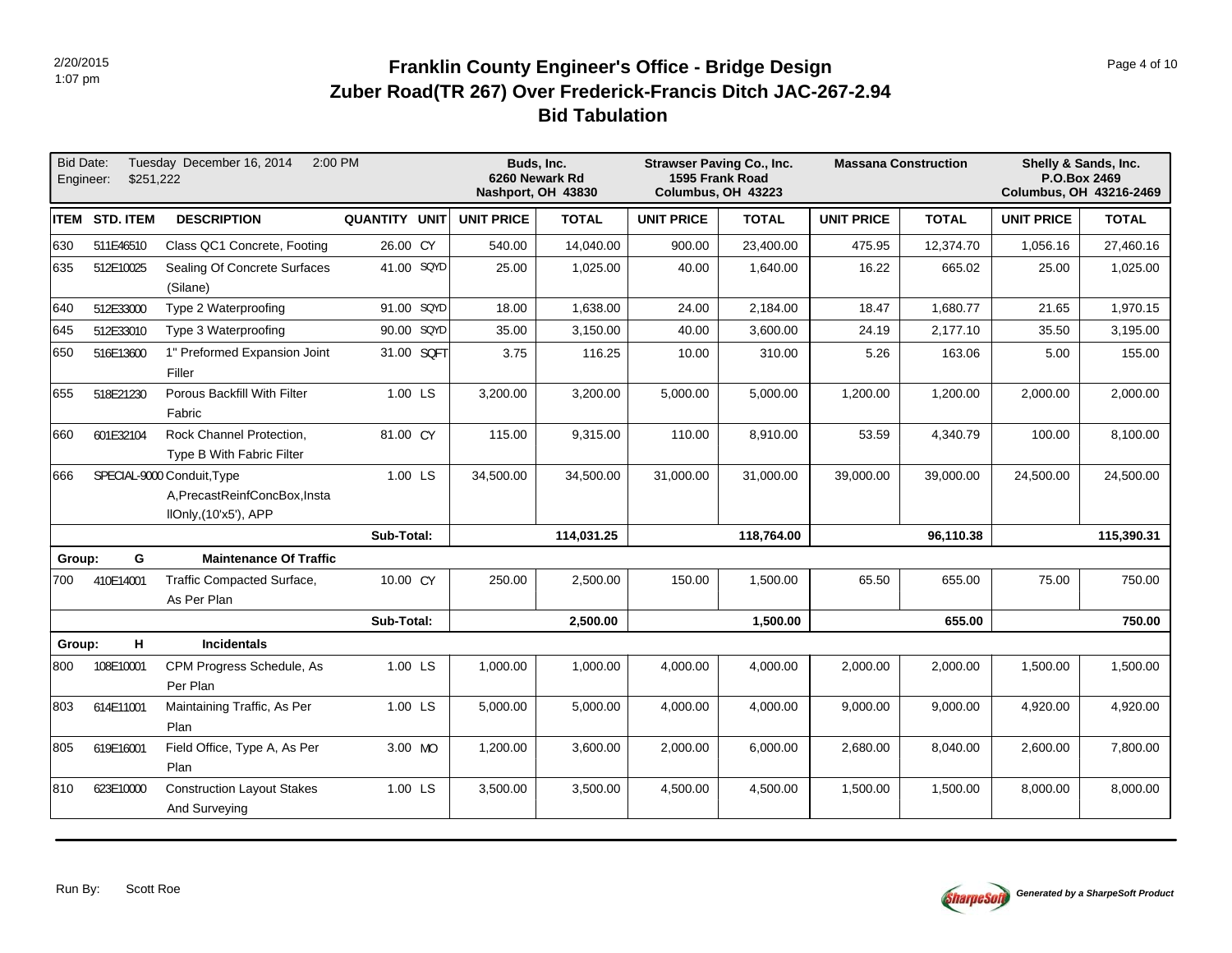# **Bid Tabulation Zuber Road(TR 267) Over Frederick-Francis Ditch JAC-267-2.94 Franklin County Engineer's Office - Bridge Design Page 4 of 10 Page 4 of 10 Page 4 of 10**

| <b>Bid Date:</b><br>Engineer: | \$251.222             | Tuesday December 16, 2014<br>2:00 PM                                                 |               |                   | Buds, Inc.<br>6260 Newark Rd<br>Nashport, OH 43830 | <b>Strawser Paving Co., Inc.</b><br>1595 Frank Road<br>Columbus, OH 43223 |              | <b>Massana Construction</b> |              | Shelly & Sands, Inc.<br>P.O.Box 2469<br><b>Columbus, OH 43216-2469</b> |              |
|-------------------------------|-----------------------|--------------------------------------------------------------------------------------|---------------|-------------------|----------------------------------------------------|---------------------------------------------------------------------------|--------------|-----------------------------|--------------|------------------------------------------------------------------------|--------------|
|                               | <b>ITEM STD. ITEM</b> | <b>DESCRIPTION</b>                                                                   | QUANTITY UNIT | <b>UNIT PRICE</b> | <b>TOTAL</b>                                       | <b>UNIT PRICE</b>                                                         | <b>TOTAL</b> | <b>UNIT PRICE</b>           | <b>TOTAL</b> | <b>UNIT PRICE</b>                                                      | <b>TOTAL</b> |
| 630                           | 511E46510             | Class QC1 Concrete, Footing                                                          | 26.00 CY      | 540.00            | 14,040.00                                          | 900.00                                                                    | 23,400.00    | 475.95                      | 12,374.70    | 1,056.16                                                               | 27,460.16    |
| 635                           | 512E10025             | Sealing Of Concrete Surfaces<br>(Silane)                                             | 41.00 SQYD    | 25.00             | 1,025.00                                           | 40.00                                                                     | 1,640.00     | 16.22                       | 665.02       | 25.00                                                                  | 1,025.00     |
| 640                           | 512E33000             | Type 2 Waterproofing                                                                 | 91.00 SQYD    | 18.00             | 1,638.00                                           | 24.00                                                                     | 2,184.00     | 18.47                       | 1,680.77     | 21.65                                                                  | 1,970.15     |
| 645                           | 512E33010             | Type 3 Waterproofing                                                                 | 90.00 SQYD    | 35.00             | 3,150.00                                           | 40.00                                                                     | 3,600.00     | 24.19                       | 2,177.10     | 35.50                                                                  | 3,195.00     |
| 650                           | 516E13600             | 1" Preformed Expansion Joint<br>Filler                                               | 31.00 SQFT    | 3.75              | 116.25                                             | 10.00                                                                     | 310.00       | 5.26                        | 163.06       | 5.00                                                                   | 155.00       |
| 655                           | 518E21230             | Porous Backfill With Filter<br>Fabric                                                | 1.00 LS       | 3,200.00          | 3,200.00                                           | 5,000.00                                                                  | 5,000.00     | 1,200.00                    | 1,200.00     | 2,000.00                                                               | 2,000.00     |
| 660                           | 601E32104             | Rock Channel Protection,<br>Type B With Fabric Filter                                | 81.00 CY      | 115.00            | 9,315.00                                           | 110.00                                                                    | 8,910.00     | 53.59                       | 4,340.79     | 100.00                                                                 | 8,100.00     |
| 666                           |                       | SPECIAL-9000 Conduit, Type<br>A, PrecastReinfConcBox, Insta<br>IIOnly, (10'x5'), APP | 1.00 LS       | 34,500.00         | 34,500.00                                          | 31.000.00                                                                 | 31.000.00    | 39.000.00                   | 39.000.00    | 24.500.00                                                              | 24,500.00    |
|                               |                       |                                                                                      | Sub-Total:    |                   | 114,031.25                                         |                                                                           | 118,764.00   |                             | 96,110.38    |                                                                        | 115,390.31   |
| Group:                        | G                     | <b>Maintenance Of Traffic</b>                                                        |               |                   |                                                    |                                                                           |              |                             |              |                                                                        |              |
| 700                           | 410E14001             | Traffic Compacted Surface,<br>As Per Plan                                            | 10.00 CY      | 250.00            | 2,500.00                                           | 150.00                                                                    | 1,500.00     | 65.50                       | 655.00       | 75.00                                                                  | 750.00       |
|                               |                       |                                                                                      | Sub-Total:    |                   | 2,500.00                                           |                                                                           | 1,500.00     |                             | 655.00       |                                                                        | 750.00       |
| Group:                        | Н.                    | <b>Incidentals</b>                                                                   |               |                   |                                                    |                                                                           |              |                             |              |                                                                        |              |
| 800                           | 108E10001             | CPM Progress Schedule, As<br>Per Plan                                                | 1.00 LS       | 1,000.00          | 1,000.00                                           | 4,000.00                                                                  | 4,000.00     | 2,000.00                    | 2,000.00     | 1,500.00                                                               | 1,500.00     |
| 803                           | 614E11001             | Maintaining Traffic, As Per<br>Plan                                                  | 1.00 LS       | 5,000.00          | 5,000.00                                           | 4,000.00                                                                  | 4,000.00     | 9,000.00                    | 9,000.00     | 4,920.00                                                               | 4,920.00     |
| 805                           | 619E16001             | Field Office, Type A, As Per<br>Plan                                                 | 3.00 MO       | 1,200.00          | 3,600.00                                           | 2,000.00                                                                  | 6,000.00     | 2,680.00                    | 8,040.00     | 2,600.00                                                               | 7,800.00     |
| 810                           | 623E10000             | <b>Construction Layout Stakes</b><br>And Surveying                                   | 1.00 LS       | 3,500.00          | 3,500.00                                           | 4,500.00                                                                  | 4,500.00     | 1,500.00                    | 1,500.00     | 8,000.00                                                               | 8,000.00     |

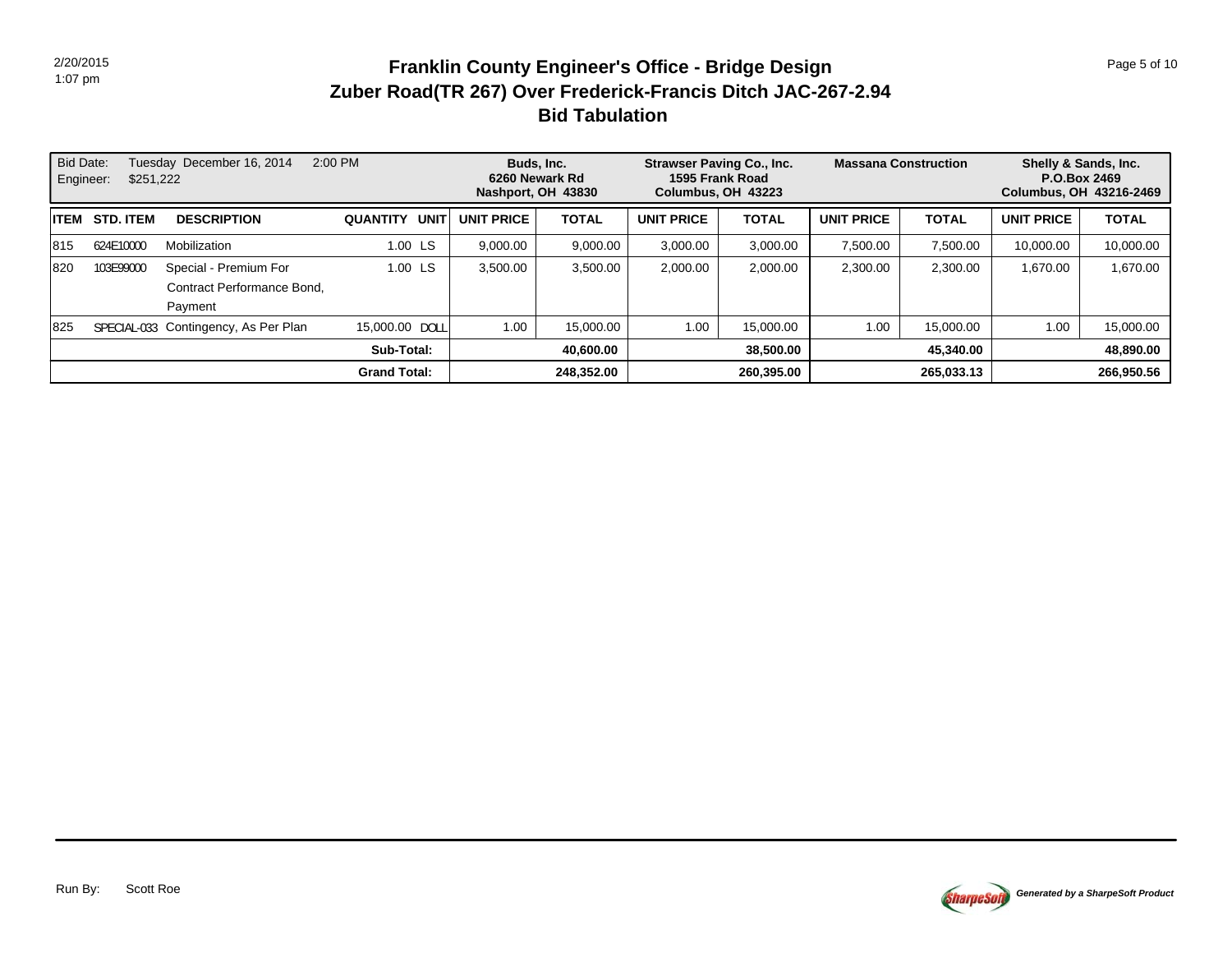# **Bid Tabulation Zuber Road(TR 267) Over Frederick-Francis Ditch JAC-267-2.94 Franklin County Engineer's Office - Bridge Design Page 5 of 10 Page 5 of 10**

| <b>Bid Date:</b><br>Engineer: | \$251,222        | Tuesday December 16, 2014            | 2:00 PM                 |                   | Buds, Inc.<br>6260 Newark Rd<br>Nashport, OH 43830 |                   | <b>Strawser Paving Co., Inc.</b><br>1595 Frank Road<br>Columbus, OH 43223 |                   | <b>Massana Construction</b> | Shelly & Sands, Inc.<br>P.O.Box 2469<br>Columbus, OH 43216-2469 |              |
|-------------------------------|------------------|--------------------------------------|-------------------------|-------------------|----------------------------------------------------|-------------------|---------------------------------------------------------------------------|-------------------|-----------------------------|-----------------------------------------------------------------|--------------|
| <b>IITEM</b>                  | <b>STD. ITEM</b> | <b>DESCRIPTION</b>                   | <b>QUANTITY</b><br>UNIT | <b>UNIT PRICE</b> | <b>TOTAL</b>                                       | <b>UNIT PRICE</b> | <b>TOTAL</b>                                                              | <b>UNIT PRICE</b> | <b>TOTAL</b>                | <b>UNIT PRICE</b>                                               | <b>TOTAL</b> |
| 1815                          | 624E10000        | Mobilization                         | 1.00 LS                 | 9.000.00          | 9.000.00                                           | 3.000.00          | 3.000.00                                                                  | 7.500.00          | 7.500.00                    | 10.000.00                                                       | 10.000.00    |
| 1820                          | 103E99000        | Special - Premium For                | 1.00 LS                 | 3,500.00          | 3,500.00                                           | 2,000.00          | 2,000.00                                                                  | 2.300.00          | 2.300.00                    | 1,670.00                                                        | 1,670.00     |
|                               |                  | Contract Performance Bond,           |                         |                   |                                                    |                   |                                                                           |                   |                             |                                                                 |              |
|                               |                  | Payment                              |                         |                   |                                                    |                   |                                                                           |                   |                             |                                                                 |              |
| 1825                          |                  | SPECIAL-033 Contingency, As Per Plan | 15,000.00 DOLL          | 1.00              | 15.000.00                                          | 1.00              | 15.000.00                                                                 | 1.00              | 15.000.00                   | 1.00                                                            | 15.000.00    |
|                               |                  |                                      | Sub-Total:              |                   | 40.600.00                                          |                   | 38,500.00                                                                 |                   | 45,340.00                   |                                                                 | 48,890.00    |
|                               |                  |                                      | <b>Grand Total:</b>     |                   | 248.352.00                                         |                   | 260,395.00                                                                |                   | 265,033.13                  |                                                                 | 266,950.56   |

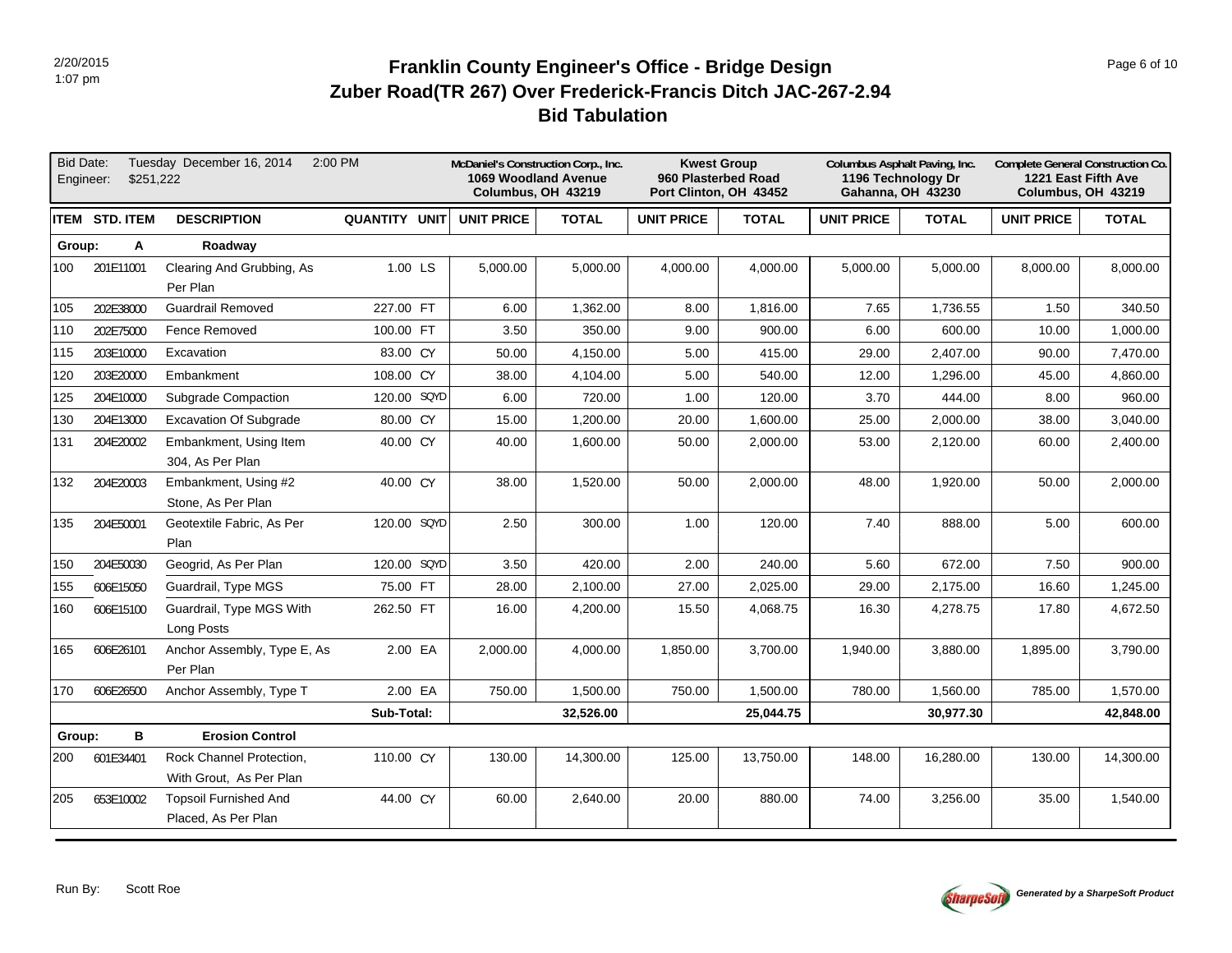# **Bid Tabulation Zuber Road(TR 267) Over Frederick-Francis Ditch JAC-267-2.94 Franklin County Engineer's Office - Bridge Design Page 6 of 10 Page 6 of 10**

| <b>Bid Date:</b> | \$251,222<br>Engineer: | Tuesday December 16, 2014                           | 2:00 PM       |                   | McDaniel's Construction Corp., Inc.<br>1069 Woodland Avenue<br>Columbus, OH 43219 |                   | <b>Kwest Group</b><br>960 Plasterbed Road<br>Port Clinton, OH 43452 | Columbus Asphalt Paving, Inc.<br>1196 Technology Dr<br><b>Gahanna, OH 43230</b> |              |                   | Complete General Construction Co.<br>1221 East Fifth Ave<br>Columbus, OH 43219 |
|------------------|------------------------|-----------------------------------------------------|---------------|-------------------|-----------------------------------------------------------------------------------|-------------------|---------------------------------------------------------------------|---------------------------------------------------------------------------------|--------------|-------------------|--------------------------------------------------------------------------------|
|                  | ITEM STD. ITEM         | <b>DESCRIPTION</b>                                  | QUANTITY UNIT | <b>UNIT PRICE</b> | <b>TOTAL</b>                                                                      | <b>UNIT PRICE</b> | <b>TOTAL</b>                                                        | <b>UNIT PRICE</b>                                                               | <b>TOTAL</b> | <b>UNIT PRICE</b> | <b>TOTAL</b>                                                                   |
| Group:           | Α                      | Roadway                                             |               |                   |                                                                                   |                   |                                                                     |                                                                                 |              |                   |                                                                                |
| 100              | 201E11001              | Clearing And Grubbing, As<br>Per Plan               | 1.00 LS       | 5,000.00          | 5,000.00                                                                          | 4,000.00          | 4,000.00                                                            | 5,000.00                                                                        | 5,000.00     | 8,000.00          | 8,000.00                                                                       |
| 105              | 202E38000              | <b>Guardrail Removed</b>                            | 227.00 FT     | 6.00              | 1,362.00                                                                          | 8.00              | 1,816.00                                                            | 7.65                                                                            | 1,736.55     | 1.50              | 340.50                                                                         |
| 110              | 202E75000              | Fence Removed                                       | 100.00 FT     | 3.50              | 350.00                                                                            | 9.00              | 900.00                                                              | 6.00                                                                            | 600.00       | 10.00             | 1,000.00                                                                       |
| 115              | 203E10000              | Excavation                                          | 83.00 CY      | 50.00             | 4,150.00                                                                          | 5.00              | 415.00                                                              | 29.00                                                                           | 2,407.00     | 90.00             | 7,470.00                                                                       |
| 120              | 203E20000              | Embankment                                          | 108.00 CY     | 38.00             | 4.104.00                                                                          | 5.00              | 540.00                                                              | 12.00                                                                           | 1.296.00     | 45.00             | 4.860.00                                                                       |
| 125              | 204E10000              | <b>Subgrade Compaction</b>                          | 120.00 SQYD   | 6.00              | 720.00                                                                            | 1.00              | 120.00                                                              | 3.70                                                                            | 444.00       | 8.00              | 960.00                                                                         |
| 130              | 204E13000              | <b>Excavation Of Subgrade</b>                       | 80.00 CY      | 15.00             | 1,200.00                                                                          | 20.00             | 1,600.00                                                            | 25.00                                                                           | 2,000.00     | 38.00             | 3,040.00                                                                       |
| 131              | 204E20002              | Embankment, Using Item<br>304, As Per Plan          | 40.00 CY      | 40.00             | 1,600.00                                                                          | 50.00             | 2,000.00                                                            | 53.00                                                                           | 2,120.00     | 60.00             | 2,400.00                                                                       |
| 132              | 204E20003              | Embankment, Using #2<br>Stone, As Per Plan          | 40.00 CY      | 38.00             | 1,520.00                                                                          | 50.00             | 2,000.00                                                            | 48.00                                                                           | 1,920.00     | 50.00             | 2,000.00                                                                       |
| 135              | 204E50001              | Geotextile Fabric, As Per<br>Plan                   | 120.00 SQYD   | 2.50              | 300.00                                                                            | 1.00              | 120.00                                                              | 7.40                                                                            | 888.00       | 5.00              | 600.00                                                                         |
| 150              | 204E50030              | Geogrid, As Per Plan                                | 120.00 SQYD   | 3.50              | 420.00                                                                            | 2.00              | 240.00                                                              | 5.60                                                                            | 672.00       | 7.50              | 900.00                                                                         |
| 155              | 606E15050              | Guardrail, Type MGS                                 | 75.00 FT      | 28.00             | 2,100.00                                                                          | 27.00             | 2,025.00                                                            | 29.00                                                                           | 2,175.00     | 16.60             | 1,245.00                                                                       |
| 160              | 606E15100              | Guardrail, Type MGS With<br>Long Posts              | 262.50 FT     | 16.00             | 4,200.00                                                                          | 15.50             | 4,068.75                                                            | 16.30                                                                           | 4,278.75     | 17.80             | 4,672.50                                                                       |
| 165              | 606E26101              | Anchor Assembly, Type E, As<br>Per Plan             | 2.00 EA       | 2,000.00          | 4,000.00                                                                          | 1,850.00          | 3,700.00                                                            | 1,940.00                                                                        | 3,880.00     | 1,895.00          | 3,790.00                                                                       |
| 170              | 606E26500              | Anchor Assembly, Type T                             | 2.00 EA       | 750.00            | 1,500.00                                                                          | 750.00            | 1,500.00                                                            | 780.00                                                                          | 1,560.00     | 785.00            | 1,570.00                                                                       |
|                  |                        |                                                     | Sub-Total:    |                   | 32,526.00                                                                         |                   | 25,044.75                                                           |                                                                                 | 30,977.30    |                   | 42,848.00                                                                      |
| Group:           | в                      | <b>Erosion Control</b>                              |               |                   |                                                                                   |                   |                                                                     |                                                                                 |              |                   |                                                                                |
| 200              | 601E34401              | Rock Channel Protection,<br>With Grout, As Per Plan | 110.00 CY     | 130.00            | 14,300.00                                                                         | 125.00            | 13,750.00                                                           | 148.00                                                                          | 16,280.00    | 130.00            | 14,300.00                                                                      |
| 205              | 653E10002              | <b>Topsoil Furnished And</b><br>Placed, As Per Plan | 44.00 CY      | 60.00             | 2,640.00                                                                          | 20.00             | 880.00                                                              | 74.00                                                                           | 3,256.00     | 35.00             | 1,540.00                                                                       |

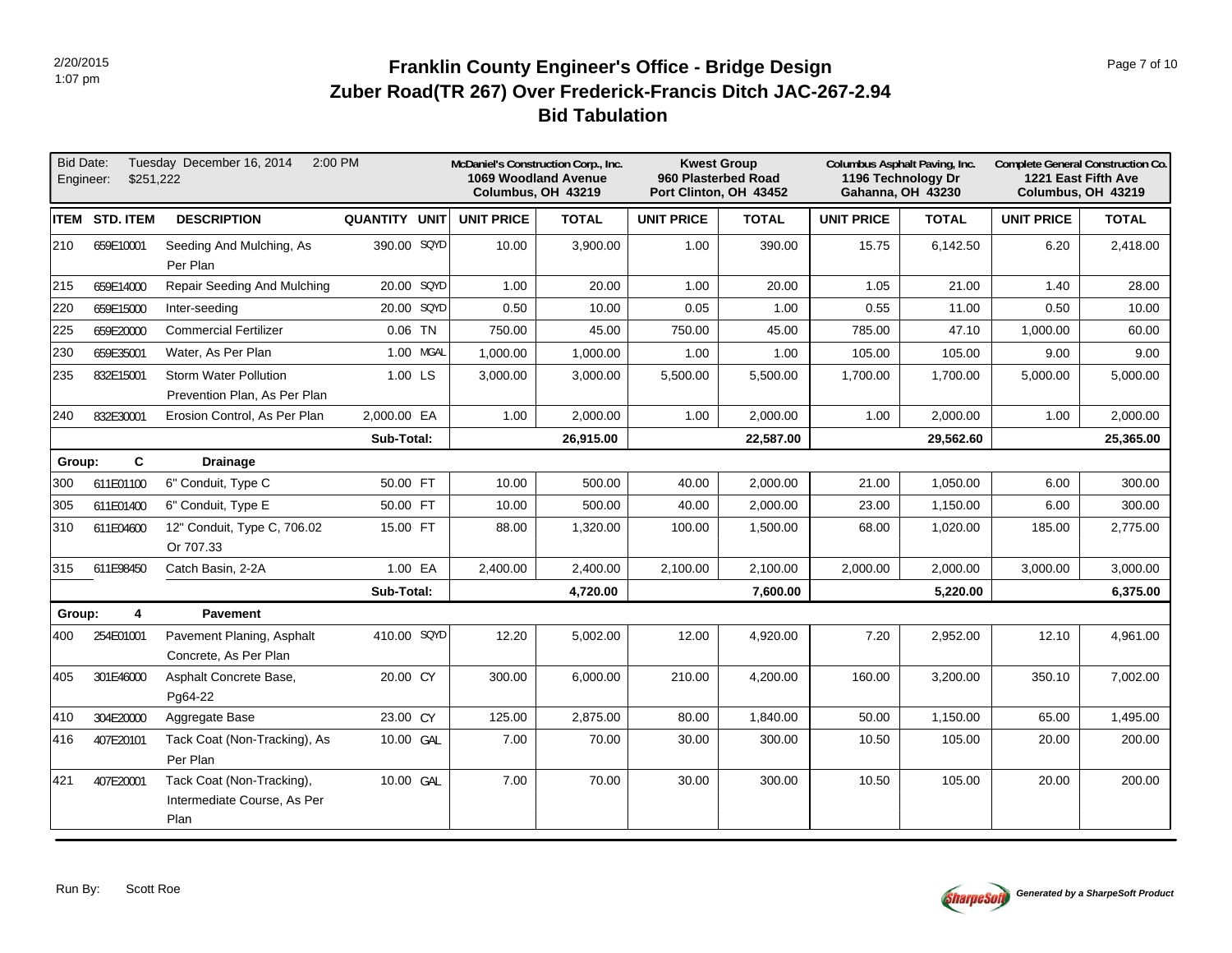# **Bid Tabulation Zuber Road(TR 267) Over Frederick-Francis Ditch JAC-267-2.94 Franklin County Engineer's Office - Bridge Design Page 7 of 10 Page 7 of 10**

| <b>Bid Date:</b> | \$251,222<br>Engineer: | Tuesday December 16, 2014<br>2:00 PM                             |                      |                   | McDaniel's Construction Corp., Inc.<br>1069 Woodland Avenue<br>Columbus, OH 43219 | 960 Plasterbed Road | <b>Kwest Group</b><br>Port Clinton, OH 43452 | Columbus Asphalt Paving, Inc.<br>1196 Technology Dr<br><b>Gahanna, OH 43230</b> |              |                   | Complete General Construction Co.<br>1221 East Fifth Ave<br>Columbus, OH 43219 |
|------------------|------------------------|------------------------------------------------------------------|----------------------|-------------------|-----------------------------------------------------------------------------------|---------------------|----------------------------------------------|---------------------------------------------------------------------------------|--------------|-------------------|--------------------------------------------------------------------------------|
|                  | <b>ITEM STD. ITEM</b>  | <b>DESCRIPTION</b>                                               | <b>QUANTITY UNIT</b> | <b>UNIT PRICE</b> | <b>TOTAL</b>                                                                      | <b>UNIT PRICE</b>   | <b>TOTAL</b>                                 | UNIT PRICE                                                                      | <b>TOTAL</b> | <b>UNIT PRICE</b> | <b>TOTAL</b>                                                                   |
| 210              | 659E10001              | Seeding And Mulching, As<br>Per Plan                             | 390.00 SQYD          | 10.00             | 3,900.00                                                                          | 1.00                | 390.00                                       | 15.75                                                                           | 6,142.50     | 6.20              | 2,418.00                                                                       |
| 215              | 659E14000              | Repair Seeding And Mulching                                      | 20.00 SQYD           | 1.00              | 20.00                                                                             | 1.00                | 20.00                                        | 1.05                                                                            | 21.00        | 1.40              | 28.00                                                                          |
| 220              | 659E15000              | Inter-seeding                                                    | 20.00 SQYD           | 0.50              | 10.00                                                                             | 0.05                | 1.00                                         | 0.55                                                                            | 11.00        | 0.50              | 10.00                                                                          |
| 225              | 659E20000              | <b>Commercial Fertilizer</b>                                     | $0.06$ TN            | 750.00            | 45.00                                                                             | 750.00              | 45.00                                        | 785.00                                                                          | 47.10        | 1,000.00          | 60.00                                                                          |
| 230              | 659E35001              | Water, As Per Plan                                               | 1.00 MGAL            | 1,000.00          | 1,000.00                                                                          | 1.00                | 1.00                                         | 105.00                                                                          | 105.00       | 9.00              | 9.00                                                                           |
| 235              | 832E15001              | <b>Storm Water Pollution</b><br>Prevention Plan, As Per Plan     | 1.00 LS              | 3,000.00          | 3,000.00                                                                          | 5,500.00            | 5,500.00                                     | 1,700.00                                                                        | 1,700.00     | 5,000.00          | 5,000.00                                                                       |
| 240              | 832E30001              | Erosion Control, As Per Plan                                     | 2,000.00 EA          | 1.00              | 2,000.00                                                                          | 1.00                | 2,000.00                                     | 1.00                                                                            | 2,000.00     | 1.00              | 2,000.00                                                                       |
|                  |                        |                                                                  | Sub-Total:           |                   | 26,915.00                                                                         |                     | 22,587.00                                    |                                                                                 | 29,562.60    |                   | 25,365.00                                                                      |
| Group:           | C                      | <b>Drainage</b>                                                  |                      |                   |                                                                                   |                     |                                              |                                                                                 |              |                   |                                                                                |
| 300              | 611E01100              | 6" Conduit, Type C                                               | 50.00 FT             | 10.00             | 500.00                                                                            | 40.00               | 2,000.00                                     | 21.00                                                                           | 1,050.00     | 6.00              | 300.00                                                                         |
| 305              | 611E01400              | 6" Conduit, Type E                                               | 50.00 FT             | 10.00             | 500.00                                                                            | 40.00               | 2,000.00                                     | 23.00                                                                           | 1,150.00     | 6.00              | 300.00                                                                         |
| 310              | 611E04600              | 12" Conduit, Type C, 706.02<br>Or 707.33                         | 15.00 FT             | 88.00             | 1,320.00                                                                          | 100.00              | 1,500.00                                     | 68.00                                                                           | 1,020.00     | 185.00            | 2,775.00                                                                       |
| 315              | 611E98450              | Catch Basin, 2-2A                                                | 1.00 EA              | 2,400.00          | 2,400.00                                                                          | 2,100.00            | 2,100.00                                     | 2,000.00                                                                        | 2,000.00     | 3,000.00          | 3,000.00                                                                       |
|                  |                        |                                                                  | Sub-Total:           |                   | 4,720.00                                                                          |                     | 7,600.00                                     |                                                                                 | 5,220.00     |                   | 6,375.00                                                                       |
| Group:           | 4                      | <b>Pavement</b>                                                  |                      |                   |                                                                                   |                     |                                              |                                                                                 |              |                   |                                                                                |
| 400              | 254E01001              | Pavement Planing, Asphalt<br>Concrete, As Per Plan               | 410.00 SQYD          | 12.20             | 5,002.00                                                                          | 12.00               | 4,920.00                                     | 7.20                                                                            | 2,952.00     | 12.10             | 4,961.00                                                                       |
| 405              | 301E46000              | Asphalt Concrete Base,<br>Pg64-22                                | 20.00 CY             | 300.00            | 6,000.00                                                                          | 210.00              | 4,200.00                                     | 160.00                                                                          | 3,200.00     | 350.10            | 7,002.00                                                                       |
| 410              | 304E20000              | Aggregate Base                                                   | 23.00 CY             | 125.00            | 2,875.00                                                                          | 80.00               | 1,840.00                                     | 50.00                                                                           | 1,150.00     | 65.00             | 1,495.00                                                                       |
| 416              | 407E20101              | Tack Coat (Non-Tracking), As<br>Per Plan                         | 10.00 GAL            | 7.00              | 70.00                                                                             | 30.00               | 300.00                                       | 10.50                                                                           | 105.00       | 20.00             | 200.00                                                                         |
| 421              | 407E20001              | Tack Coat (Non-Tracking),<br>Intermediate Course, As Per<br>Plan | 10.00 GAL            | 7.00              | 70.00                                                                             | 30.00               | 300.00                                       | 10.50                                                                           | 105.00       | 20.00             | 200.00                                                                         |

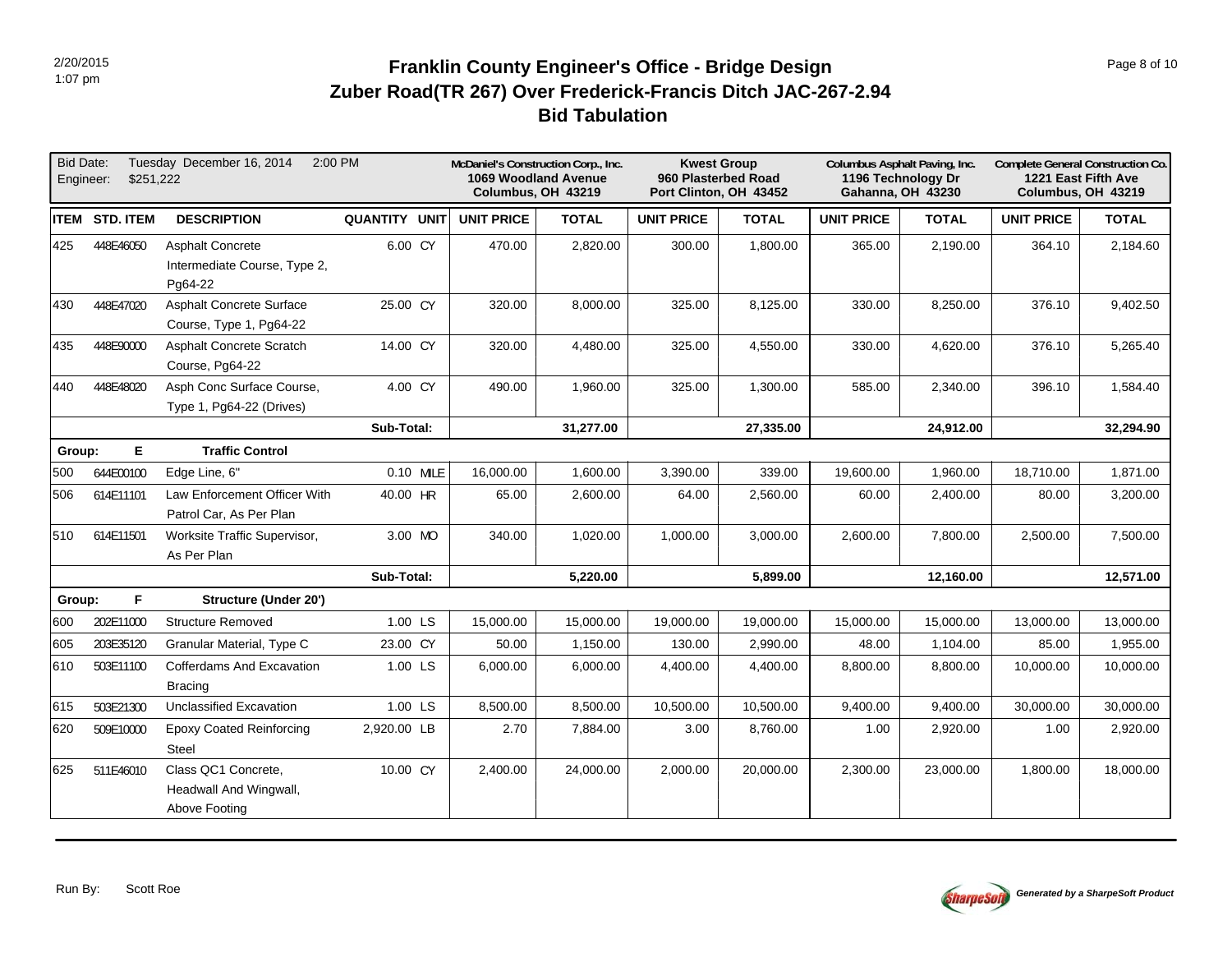# **Bid Tabulation Zuber Road(TR 267) Over Frederick-Francis Ditch JAC-267-2.94 Franklin County Engineer's Office - Bridge Design Page 8 of 10 Page 8 of 10**

| <b>Bid Date:</b><br>Engineer: | \$251.222             | Tuesday December 16, 2014                                          | 2:00 PM              |                   | McDaniel's Construction Corp., Inc.<br>1069 Woodland Avenue<br>Columbus, OH 43219 | <b>Kwest Group</b><br>960 Plasterbed Road<br>Port Clinton, OH 43452 |              | Columbus Asphalt Paving, Inc. | 1196 Technology Dr<br><b>Gahanna, OH 43230</b> | Complete General Construction Co.<br>1221 East Fifth Ave<br>Columbus, OH 43219 |              |
|-------------------------------|-----------------------|--------------------------------------------------------------------|----------------------|-------------------|-----------------------------------------------------------------------------------|---------------------------------------------------------------------|--------------|-------------------------------|------------------------------------------------|--------------------------------------------------------------------------------|--------------|
|                               | <b>ITEM STD. ITEM</b> | <b>DESCRIPTION</b>                                                 | <b>QUANTITY UNIT</b> | <b>UNIT PRICE</b> | <b>TOTAL</b>                                                                      | <b>UNIT PRICE</b>                                                   | <b>TOTAL</b> | <b>UNIT PRICE</b>             | <b>TOTAL</b>                                   | <b>UNIT PRICE</b>                                                              | <b>TOTAL</b> |
| 425                           | 448E46050             | <b>Asphalt Concrete</b><br>Intermediate Course, Type 2,<br>Pg64-22 | 6.00 CY              | 470.00            | 2,820.00                                                                          | 300.00                                                              | 1,800.00     | 365.00                        | 2,190.00                                       | 364.10                                                                         | 2,184.60     |
| 430                           | 448E47020             | <b>Asphalt Concrete Surface</b><br>Course, Type 1, Pg64-22         | 25.00 CY             | 320.00            | 8,000.00                                                                          | 325.00                                                              | 8,125.00     | 330.00                        | 8,250.00                                       | 376.10                                                                         | 9,402.50     |
| 435                           | 448E90000             | <b>Asphalt Concrete Scratch</b><br>Course, Pg64-22                 | 14.00 CY             | 320.00            | 4,480.00                                                                          | 325.00                                                              | 4,550.00     | 330.00                        | 4,620.00                                       | 376.10                                                                         | 5,265.40     |
| 440                           | 448E48020             | Asph Conc Surface Course,<br>Type 1, Pg64-22 (Drives)              | 4.00 CY              | 490.00            | 1,960.00                                                                          | 325.00                                                              | 1,300.00     | 585.00                        | 2,340.00                                       | 396.10                                                                         | 1,584.40     |
|                               |                       |                                                                    | Sub-Total:           |                   | 31,277.00                                                                         |                                                                     | 27,335.00    |                               | 24,912.00                                      |                                                                                | 32,294.90    |
| Group:                        | E.                    | <b>Traffic Control</b>                                             |                      |                   |                                                                                   |                                                                     |              |                               |                                                |                                                                                |              |
| 500                           | 644E00100             | Edge Line, 6"                                                      | 0.10 MILE            | 16,000.00         | 1,600.00                                                                          | 3,390.00                                                            | 339.00       | 19,600.00                     | 1,960.00                                       | 18,710.00                                                                      | 1,871.00     |
| 506                           | 614E11101             | Law Enforcement Officer With<br>Patrol Car, As Per Plan            | 40.00 HR             | 65.00             | 2,600.00                                                                          | 64.00                                                               | 2,560.00     | 60.00                         | 2,400.00                                       | 80.00                                                                          | 3,200.00     |
| 510                           | 614E11501             | Worksite Traffic Supervisor,<br>As Per Plan                        | 3.00 MO              | 340.00            | 1,020.00                                                                          | 1,000.00                                                            | 3,000.00     | 2,600.00                      | 7,800.00                                       | 2,500.00                                                                       | 7,500.00     |
|                               |                       |                                                                    | Sub-Total:           |                   | 5,220.00                                                                          |                                                                     | 5,899.00     |                               | 12,160.00                                      |                                                                                | 12,571.00    |
| Group:                        | F                     | Structure (Under 20')                                              |                      |                   |                                                                                   |                                                                     |              |                               |                                                |                                                                                |              |
| 600                           | 202E11000             | <b>Structure Removed</b>                                           | 1.00 LS              | 15,000.00         | 15,000.00                                                                         | 19,000.00                                                           | 19,000.00    | 15,000.00                     | 15,000.00                                      | 13,000.00                                                                      | 13,000.00    |
| 605                           | 203E35120             | Granular Material, Type C                                          | 23.00 CY             | 50.00             | 1,150.00                                                                          | 130.00                                                              | 2,990.00     | 48.00                         | 1,104.00                                       | 85.00                                                                          | 1,955.00     |
| 610                           | 503E11100             | Cofferdams And Excavation<br><b>Bracing</b>                        | 1.00 LS              | 6,000.00          | 6,000.00                                                                          | 4,400.00                                                            | 4,400.00     | 8,800.00                      | 8,800.00                                       | 10,000.00                                                                      | 10,000.00    |
| 615                           | 503E21300             | Unclassified Excavation                                            | 1.00 LS              | 8,500.00          | 8,500.00                                                                          | 10,500.00                                                           | 10,500.00    | 9,400.00                      | 9,400.00                                       | 30,000.00                                                                      | 30,000.00    |
| 620                           | 509E10000             | <b>Epoxy Coated Reinforcing</b><br>Steel                           | 2,920.00 LB          | 2.70              | 7,884.00                                                                          | 3.00                                                                | 8,760.00     | 1.00                          | 2,920.00                                       | 1.00                                                                           | 2,920.00     |
| 625                           | 511E46010             | Class QC1 Concrete,<br>Headwall And Wingwall,<br>Above Footing     | 10.00 CY             | 2,400.00          | 24,000.00                                                                         | 2,000.00                                                            | 20,000.00    | 2,300.00                      | 23,000.00                                      | 1,800.00                                                                       | 18,000.00    |

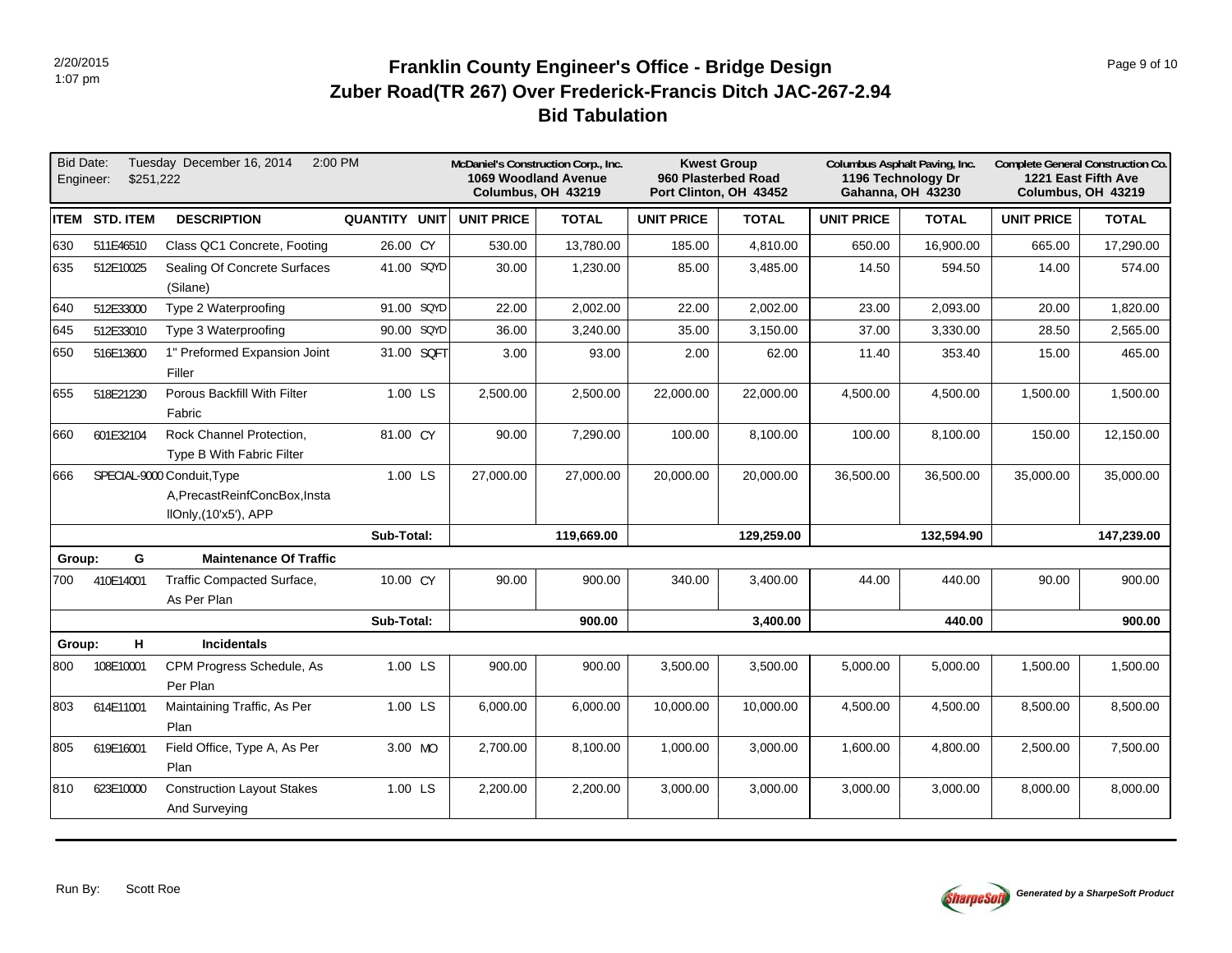# **Bid Tabulation Zuber Road(TR 267) Over Frederick-Francis Ditch JAC-267-2.94 Franklin County Engineer's Office - Bridge Design Page 9 of 10 Page 9 of 10**

| <b>Bid Date:</b><br>Engineer: | \$251.222     | 2:00 PM<br>Tuesday December 16, 2014                  |                      | McDaniel's Construction Corp., Inc.<br>1069 Woodland Avenue<br>Columbus, OH 43219 |              |                   | <b>Kwest Group</b><br>960 Plasterbed Road<br>Port Clinton, OH 43452 | Columbus Asphalt Paving, Inc. | 1196 Technology Dr<br>Gahanna, OH 43230 | Complete General Construction Co.<br>1221 East Fifth Ave<br>Columbus, OH 43219 |              |
|-------------------------------|---------------|-------------------------------------------------------|----------------------|-----------------------------------------------------------------------------------|--------------|-------------------|---------------------------------------------------------------------|-------------------------------|-----------------------------------------|--------------------------------------------------------------------------------|--------------|
|                               | ITEM STD.ITEM | <b>DESCRIPTION</b>                                    | <b>QUANTITY UNIT</b> | <b>UNIT PRICE</b>                                                                 | <b>TOTAL</b> | <b>UNIT PRICE</b> | <b>TOTAL</b>                                                        | <b>UNIT PRICE</b>             | <b>TOTAL</b>                            | <b>UNIT PRICE</b>                                                              | <b>TOTAL</b> |
| 630                           | 511E46510     | Class QC1 Concrete, Footing                           | 26.00 CY             | 530.00                                                                            | 13,780.00    | 185.00            | 4,810.00                                                            | 650.00                        | 16,900.00                               | 665.00                                                                         | 17,290.00    |
| 635                           | 512E10025     | Sealing Of Concrete Surfaces<br>(Silane)              | 41.00 SQYD           | 30.00                                                                             | 1,230.00     | 85.00             | 3,485.00                                                            | 14.50                         | 594.50                                  | 14.00                                                                          | 574.00       |
| 640                           | 512E33000     | Type 2 Waterproofing                                  | 91.00 SQYD           | 22.00                                                                             | 2,002.00     | 22.00             | 2,002.00                                                            | 23.00                         | 2,093.00                                | 20.00                                                                          | 1,820.00     |
| 645                           | 512E33010     | Type 3 Waterproofing                                  | 90.00 SQYD           | 36.00                                                                             | 3,240.00     | 35.00             | 3,150.00                                                            | 37.00                         | 3,330.00                                | 28.50                                                                          | 2,565.00     |
| 650                           | 516E13600     | 1" Preformed Expansion Joint<br>Filler                | 31.00 SQFT           | 3.00                                                                              | 93.00        | 2.00              | 62.00                                                               | 11.40                         | 353.40                                  | 15.00                                                                          | 465.00       |
| 655                           | 518E21230     | Porous Backfill With Filter<br>Fabric                 | 1.00 LS              | 2,500.00                                                                          | 2,500.00     | 22,000.00         | 22,000.00                                                           | 4,500.00                      | 4,500.00                                | 1,500.00                                                                       | 1,500.00     |
| l660                          | 601E32104     | Rock Channel Protection,<br>Type B With Fabric Filter | 81.00 CY             | 90.00                                                                             | 7,290.00     | 100.00            | 8,100.00                                                            | 100.00                        | 8,100.00                                | 150.00                                                                         | 12,150.00    |
| 866                           |               | SPECIAL-9000 Conduit, Type                            | 1.00 LS              | 27,000.00                                                                         | 27,000.00    | 20,000.00         | 20,000.00                                                           | 36,500.00                     | 36,500.00                               | 35,000.00                                                                      | 35,000.00    |
|                               |               | A, PrecastReinfConcBox, Insta                         |                      |                                                                                   |              |                   |                                                                     |                               |                                         |                                                                                |              |
|                               |               | IIOnly, (10'x5'), APP                                 |                      |                                                                                   |              |                   |                                                                     |                               |                                         |                                                                                |              |
|                               |               |                                                       | Sub-Total:           |                                                                                   | 119.669.00   |                   | 129,259.00                                                          |                               | 132.594.90                              |                                                                                | 147,239.00   |
| Group:                        | G             | <b>Maintenance Of Traffic</b>                         |                      |                                                                                   |              |                   |                                                                     |                               |                                         |                                                                                |              |
| 700                           | 410E14001     | Traffic Compacted Surface,                            | 10.00 CY             | 90.00                                                                             | 900.00       | 340.00            | 3,400.00                                                            | 44.00                         | 440.00                                  | 90.00                                                                          | 900.00       |
|                               |               | As Per Plan                                           |                      |                                                                                   |              |                   |                                                                     |                               |                                         |                                                                                |              |
|                               |               |                                                       | Sub-Total:           |                                                                                   | 900.00       |                   | 3,400.00                                                            |                               | 440.00                                  |                                                                                | 900.00       |
| Group:                        | н             | <b>Incidentals</b>                                    |                      |                                                                                   |              |                   |                                                                     |                               |                                         |                                                                                |              |
| 800                           | 108E10001     | CPM Progress Schedule, As<br>Per Plan                 | 1.00 LS              | 900.00                                                                            | 900.00       | 3,500.00          | 3,500.00                                                            | 5,000.00                      | 5,000.00                                | 1,500.00                                                                       | 1,500.00     |
| 803                           | 614E11001     | Maintaining Traffic, As Per<br>Plan                   | 1.00 LS              | 6,000.00                                                                          | 6,000.00     | 10.000.00         | 10,000.00                                                           | 4,500.00                      | 4.500.00                                | 8,500.00                                                                       | 8,500.00     |
| 805                           | 619E16001     | Field Office, Type A, As Per<br>Plan                  | 3.00 MO              | 2,700.00                                                                          | 8,100.00     | 1,000.00          | 3,000.00                                                            | 1,600.00                      | 4,800.00                                | 2,500.00                                                                       | 7,500.00     |
| 810                           | 623E10000     | <b>Construction Layout Stakes</b><br>And Surveying    | 1.00 LS              | 2,200.00                                                                          | 2,200.00     | 3,000.00          | 3,000.00                                                            | 3,000.00                      | 3,000.00                                | 8,000.00                                                                       | 8,000.00     |